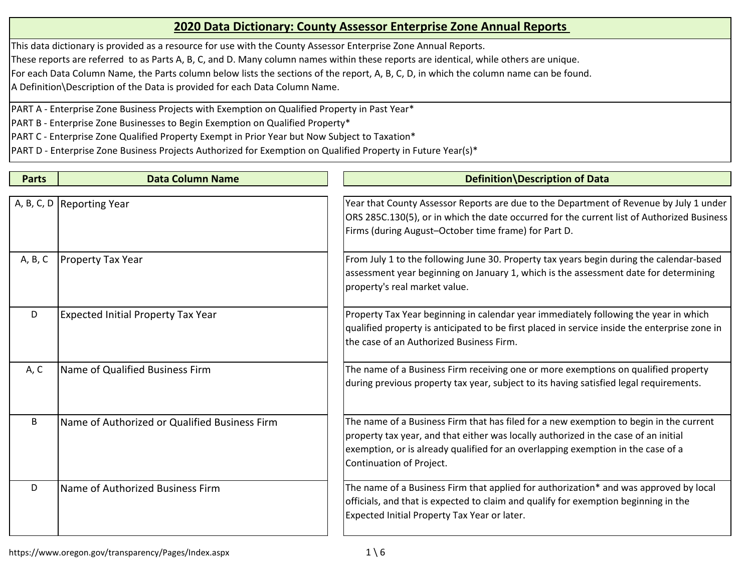This data dictionary is provided as a resource for use with the County Assessor Enterprise Zone Annual Reports.

These reports are referred to as Parts A, B, C, and D. Many column names within these reports are identical, while others are unique.

For each Data Column Name, the Parts column below lists the sections of the report, A, B, C, D, in which the column name can be found.

A Definition\Description of the Data is provided for each Data Column Name.

PART A - Enterprise Zone Business Projects with Exemption on Qualified Property in Past Year\*

PART B - Enterprise Zone Businesses to Begin Exemption on Qualified Property\*

PART C - Enterprise Zone Qualified Property Exempt in Prior Year but Now Subject to Taxation\*

| <b>Parts</b> | <b>Data Column Name</b>                       | Definition Description of Data                                                                                                                                                                                                                                                                |
|--------------|-----------------------------------------------|-----------------------------------------------------------------------------------------------------------------------------------------------------------------------------------------------------------------------------------------------------------------------------------------------|
|              |                                               |                                                                                                                                                                                                                                                                                               |
|              | A, B, C, D   Reporting Year                   | Year that County Assessor Reports are due to the Department of Revenue by July 1 under<br>ORS 285C.130(5), or in which the date occurred for the current list of Authorized Business<br>Firms (during August-October time frame) for Part D.                                                  |
| A, B, C      | <b>Property Tax Year</b>                      | From July 1 to the following June 30. Property tax years begin during the calendar-based<br>assessment year beginning on January 1, which is the assessment date for determining<br>property's real market value.                                                                             |
| D            | <b>Expected Initial Property Tax Year</b>     | Property Tax Year beginning in calendar year immediately following the year in which<br>qualified property is anticipated to be first placed in service inside the enterprise zone in<br>lthe case of an Authorized Business Firm.                                                            |
| A, C         | Name of Qualified Business Firm               | The name of a Business Firm receiving one or more exemptions on qualified property<br>during previous property tax year, subject to its having satisfied legal requirements.                                                                                                                  |
| B            | Name of Authorized or Qualified Business Firm | The name of a Business Firm that has filed for a new exemption to begin in the current<br>property tax year, and that either was locally authorized in the case of an initial<br>exemption, or is already qualified for an overlapping exemption in the case of a<br>Continuation of Project. |
| D            | Name of Authorized Business Firm              | The name of a Business Firm that applied for authorization* and was approved by local<br>officials, and that is expected to claim and qualify for exemption beginning in the<br>Expected Initial Property Tax Year or later.                                                                  |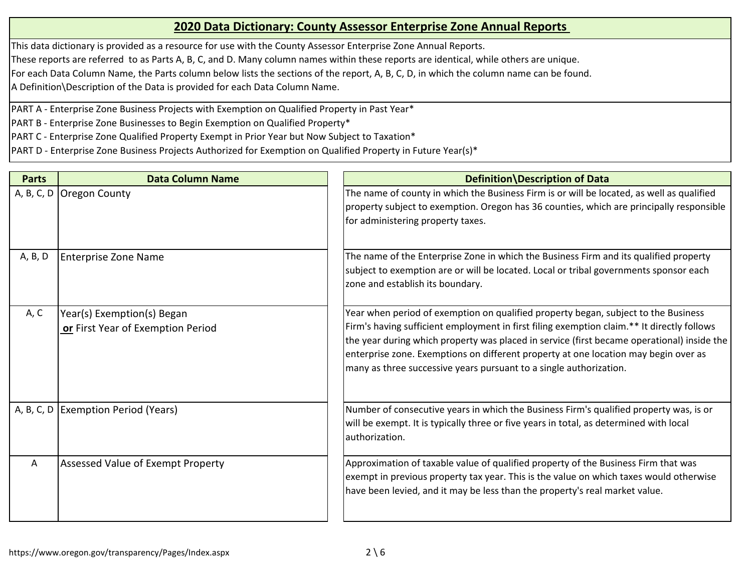This data dictionary is provided as a resource for use with the County Assessor Enterprise Zone Annual Reports.

These reports are referred to as Parts A, B, C, and D. Many column names within these reports are identical, while others are unique.

For each Data Column Name, the Parts column below lists the sections of the report, A, B, C, D, in which the column name can be found.

A Definition\Description of the Data is provided for each Data Column Name.

PART A - Enterprise Zone Business Projects with Exemption on Qualified Property in Past Year\*

PART B - Enterprise Zone Businesses to Begin Exemption on Qualified Property\*

PART C - Enterprise Zone Qualified Property Exempt in Prior Year but Now Subject to Taxation\*

| <b>Parts</b> | <b>Data Column Name</b>                                         | Definition Description of Data                                                                                                                                                                                                                                                                                                                                                                                                              |
|--------------|-----------------------------------------------------------------|---------------------------------------------------------------------------------------------------------------------------------------------------------------------------------------------------------------------------------------------------------------------------------------------------------------------------------------------------------------------------------------------------------------------------------------------|
| A, B, C, D   | Oregon County                                                   | The name of county in which the Business Firm is or will be located, as well as qualified<br>property subject to exemption. Oregon has 36 counties, which are principally responsible<br>for administering property taxes.                                                                                                                                                                                                                  |
| A, B, D      | <b>Enterprise Zone Name</b>                                     | The name of the Enterprise Zone in which the Business Firm and its qualified property<br>subject to exemption are or will be located. Local or tribal governments sponsor each<br>zone and establish its boundary.                                                                                                                                                                                                                          |
| A, C         | Year(s) Exemption(s) Began<br>or First Year of Exemption Period | Year when period of exemption on qualified property began, subject to the Business<br>Firm's having sufficient employment in first filing exemption claim.** It directly follows<br>the year during which property was placed in service (first became operational) inside the<br>enterprise zone. Exemptions on different property at one location may begin over as<br>many as three successive years pursuant to a single authorization. |
| A, B, C, D   | <b>Exemption Period (Years)</b>                                 | Number of consecutive years in which the Business Firm's qualified property was, is or<br>will be exempt. It is typically three or five years in total, as determined with local<br>authorization.                                                                                                                                                                                                                                          |
| A            | Assessed Value of Exempt Property                               | Approximation of taxable value of qualified property of the Business Firm that was<br>exempt in previous property tax year. This is the value on which taxes would otherwise<br>have been levied, and it may be less than the property's real market value.                                                                                                                                                                                 |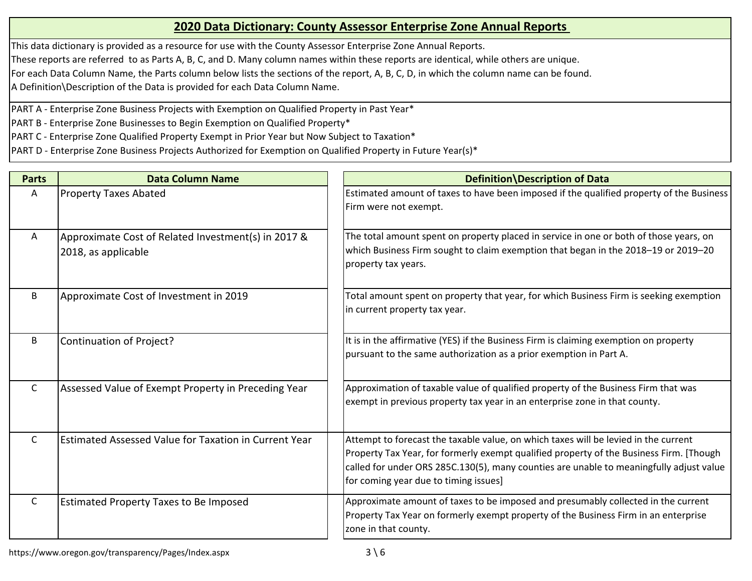This data dictionary is provided as a resource for use with the County Assessor Enterprise Zone Annual Reports.

These reports are referred to as Parts A, B, C, and D. Many column names within these reports are identical, while others are unique.

For each Data Column Name, the Parts column below lists the sections of the report, A, B, C, D, in which the column name can be found.

A Definition\Description of the Data is provided for each Data Column Name.

PART A - Enterprise Zone Business Projects with Exemption on Qualified Property in Past Year\*

PART B - Enterprise Zone Businesses to Begin Exemption on Qualified Property\*

PART C - Enterprise Zone Qualified Property Exempt in Prior Year but Now Subject to Taxation\*

| <b>Parts</b> | <b>Data Column Name</b>                                                    | Definition Description of Data                                                                                                                                                                                                                                                                                     |
|--------------|----------------------------------------------------------------------------|--------------------------------------------------------------------------------------------------------------------------------------------------------------------------------------------------------------------------------------------------------------------------------------------------------------------|
| A            | <b>Property Taxes Abated</b>                                               | Estimated amount of taxes to have been imposed if the qualified property of the Business<br>Firm were not exempt.                                                                                                                                                                                                  |
| A            | Approximate Cost of Related Investment(s) in 2017 &<br>2018, as applicable | The total amount spent on property placed in service in one or both of those years, on<br>which Business Firm sought to claim exemption that began in the 2018-19 or 2019-20<br>property tax years.                                                                                                                |
| B            | Approximate Cost of Investment in 2019                                     | Total amount spent on property that year, for which Business Firm is seeking exemption<br>in current property tax year.                                                                                                                                                                                            |
| B            | Continuation of Project?                                                   | It is in the affirmative (YES) if the Business Firm is claiming exemption on property<br>pursuant to the same authorization as a prior exemption in Part A.                                                                                                                                                        |
| $\mathsf{C}$ | Assessed Value of Exempt Property in Preceding Year                        | Approximation of taxable value of qualified property of the Business Firm that was<br>exempt in previous property tax year in an enterprise zone in that county.                                                                                                                                                   |
| $\mathsf{C}$ | Estimated Assessed Value for Taxation in Current Year                      | Attempt to forecast the taxable value, on which taxes will be levied in the current<br>Property Tax Year, for formerly exempt qualified property of the Business Firm. [Though<br>called for under ORS 285C.130(5), many counties are unable to meaningfully adjust value<br>for coming year due to timing issues] |
| $\mathsf{C}$ | <b>Estimated Property Taxes to Be Imposed</b>                              | Approximate amount of taxes to be imposed and presumably collected in the current<br>Property Tax Year on formerly exempt property of the Business Firm in an enterprise<br>zone in that county.                                                                                                                   |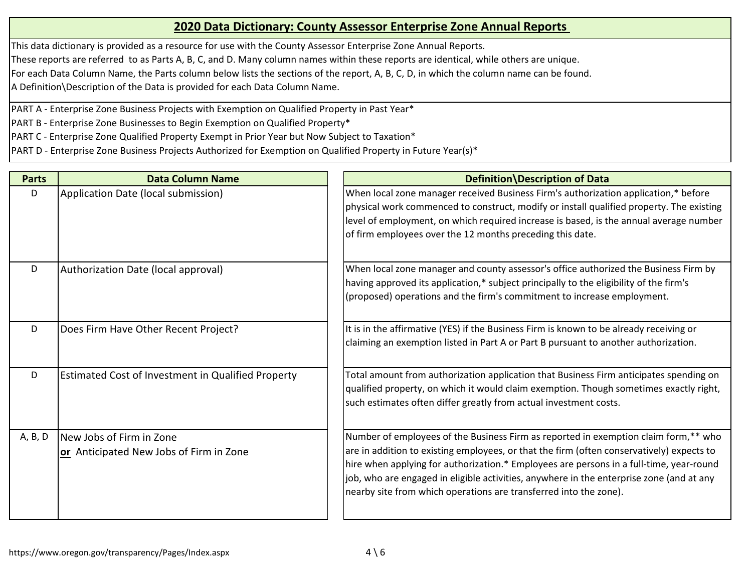This data dictionary is provided as a resource for use with the County Assessor Enterprise Zone Annual Reports.

These reports are referred to as Parts A, B, C, and D. Many column names within these reports are identical, while others are unique.

For each Data Column Name, the Parts column below lists the sections of the report, A, B, C, D, in which the column name can be found.

A Definition\Description of the Data is provided for each Data Column Name.

PART A - Enterprise Zone Business Projects with Exemption on Qualified Property in Past Year\*

PART B - Enterprise Zone Businesses to Begin Exemption on Qualified Property\*

PART C - Enterprise Zone Qualified Property Exempt in Prior Year but Now Subject to Taxation\*

| <b>Parts</b> | <b>Data Column Name</b>                                             | Definition Description of Data                                                                                                                                                                                                                                                                                                                                                                                                               |
|--------------|---------------------------------------------------------------------|----------------------------------------------------------------------------------------------------------------------------------------------------------------------------------------------------------------------------------------------------------------------------------------------------------------------------------------------------------------------------------------------------------------------------------------------|
| D            | Application Date (local submission)                                 | When local zone manager received Business Firm's authorization application,* before<br>physical work commenced to construct, modify or install qualified property. The existing<br>level of employment, on which required increase is based, is the annual average number<br>of firm employees over the 12 months preceding this date.                                                                                                       |
| D            | Authorization Date (local approval)                                 | When local zone manager and county assessor's office authorized the Business Firm by<br>having approved its application,* subject principally to the eligibility of the firm's<br>(proposed) operations and the firm's commitment to increase employment.                                                                                                                                                                                    |
| D            | Does Firm Have Other Recent Project?                                | It is in the affirmative (YES) if the Business Firm is known to be already receiving or<br>claiming an exemption listed in Part A or Part B pursuant to another authorization.                                                                                                                                                                                                                                                               |
| D            | Estimated Cost of Investment in Qualified Property                  | Total amount from authorization application that Business Firm anticipates spending on<br>qualified property, on which it would claim exemption. Though sometimes exactly right,<br>such estimates often differ greatly from actual investment costs.                                                                                                                                                                                        |
| A, B, D      | New Jobs of Firm in Zone<br>or Anticipated New Jobs of Firm in Zone | Number of employees of the Business Firm as reported in exemption claim form,** who<br>are in addition to existing employees, or that the firm (often conservatively) expects to<br>hire when applying for authorization.* Employees are persons in a full-time, year-round<br>job, who are engaged in eligible activities, anywhere in the enterprise zone (and at any<br>nearby site from which operations are transferred into the zone). |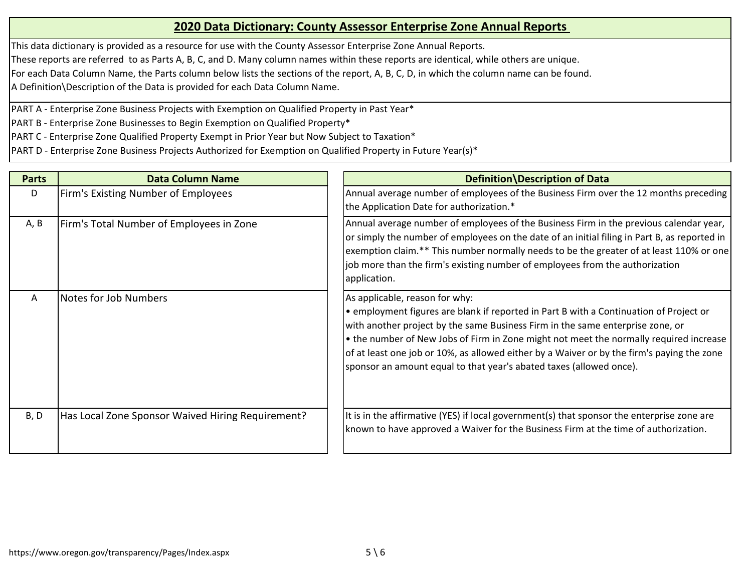This data dictionary is provided as a resource for use with the County Assessor Enterprise Zone Annual Reports.

These reports are referred to as Parts A, B, C, and D. Many column names within these reports are identical, while others are unique.

For each Data Column Name, the Parts column below lists the sections of the report, A, B, C, D, in which the column name can be found.

A Definition\Description of the Data is provided for each Data Column Name.

PART A - Enterprise Zone Business Projects with Exemption on Qualified Property in Past Year\*

PART B - Enterprise Zone Businesses to Begin Exemption on Qualified Property\*

PART C - Enterprise Zone Qualified Property Exempt in Prior Year but Now Subject to Taxation\*

| <b>Parts</b> | <b>Data Column Name</b>                           | Definition Description of Data                                                                                                                                                                                                                                                                                                                                                                                                                                            |
|--------------|---------------------------------------------------|---------------------------------------------------------------------------------------------------------------------------------------------------------------------------------------------------------------------------------------------------------------------------------------------------------------------------------------------------------------------------------------------------------------------------------------------------------------------------|
| D            | Firm's Existing Number of Employees               | Annual average number of employees of the Business Firm over the 12 months preceding<br>the Application Date for authorization.*                                                                                                                                                                                                                                                                                                                                          |
| A, B         | Firm's Total Number of Employees in Zone          | Annual average number of employees of the Business Firm in the previous calendar year,<br>or simply the number of employees on the date of an initial filing in Part B, as reported in<br>exemption claim.** This number normally needs to be the greater of at least 110% or one<br>job more than the firm's existing number of employees from the authorization<br>application.                                                                                         |
| A            | <b>Notes for Job Numbers</b>                      | As applicable, reason for why:<br>. employment figures are blank if reported in Part B with a Continuation of Project or<br>with another project by the same Business Firm in the same enterprise zone, or<br>• the number of New Jobs of Firm in Zone might not meet the normally required increase<br>of at least one job or 10%, as allowed either by a Waiver or by the firm's paying the zone<br>sponsor an amount equal to that year's abated taxes (allowed once). |
| B, D         | Has Local Zone Sponsor Waived Hiring Requirement? | It is in the affirmative (YES) if local government(s) that sponsor the enterprise zone are<br>known to have approved a Waiver for the Business Firm at the time of authorization.                                                                                                                                                                                                                                                                                         |